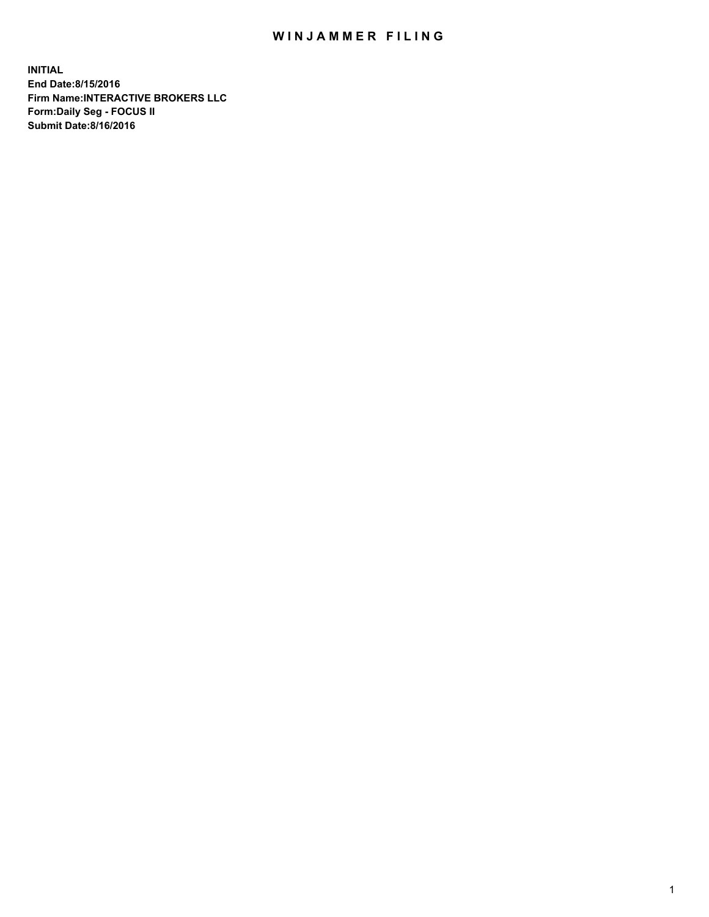## WIN JAMMER FILING

**INITIAL End Date:8/15/2016 Firm Name:INTERACTIVE BROKERS LLC Form:Daily Seg - FOCUS II Submit Date:8/16/2016**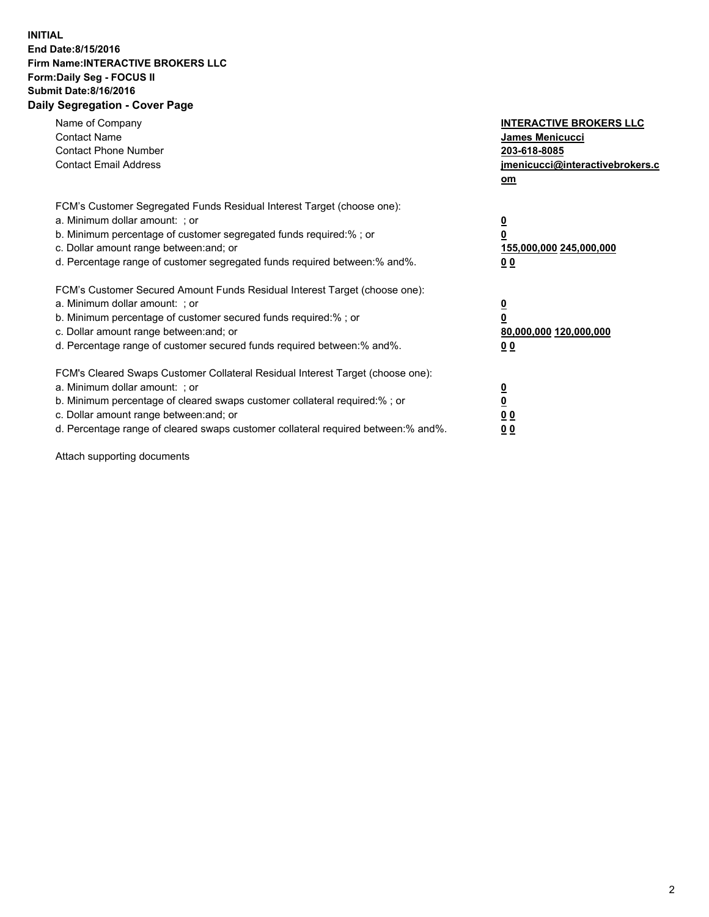## **INITIAL End Date:8/15/2016 Firm Name:INTERACTIVE BROKERS LLC Form:Daily Seg - FOCUS II Submit Date:8/16/2016 Daily Segregation - Cover Page**

| Name of Company<br><b>Contact Name</b><br><b>Contact Phone Number</b><br><b>Contact Email Address</b>                                                                                                                                                                                                                          | <b>INTERACTIVE BROKERS LLC</b><br><b>James Menicucci</b><br>203-618-8085<br>jmenicucci@interactivebrokers.c<br>om |
|--------------------------------------------------------------------------------------------------------------------------------------------------------------------------------------------------------------------------------------------------------------------------------------------------------------------------------|-------------------------------------------------------------------------------------------------------------------|
| FCM's Customer Segregated Funds Residual Interest Target (choose one):<br>a. Minimum dollar amount: ; or<br>b. Minimum percentage of customer segregated funds required:% ; or<br>c. Dollar amount range between: and; or<br>d. Percentage range of customer segregated funds required between: % and %.                       | $\overline{\mathbf{0}}$<br>0<br>155,000,000 245,000,000<br>00                                                     |
| FCM's Customer Secured Amount Funds Residual Interest Target (choose one):<br>a. Minimum dollar amount: ; or<br>b. Minimum percentage of customer secured funds required:%; or<br>c. Dollar amount range between: and; or<br>d. Percentage range of customer secured funds required between: % and %.                          | $\overline{\mathbf{0}}$<br>0<br>80,000,000 120,000,000<br>00                                                      |
| FCM's Cleared Swaps Customer Collateral Residual Interest Target (choose one):<br>a. Minimum dollar amount: ; or<br>b. Minimum percentage of cleared swaps customer collateral required:% ; or<br>c. Dollar amount range between: and; or<br>d. Percentage range of cleared swaps customer collateral required between:% and%. | $\overline{\mathbf{0}}$<br>$\overline{\mathbf{0}}$<br>00<br>0 <sub>0</sub>                                        |

Attach supporting documents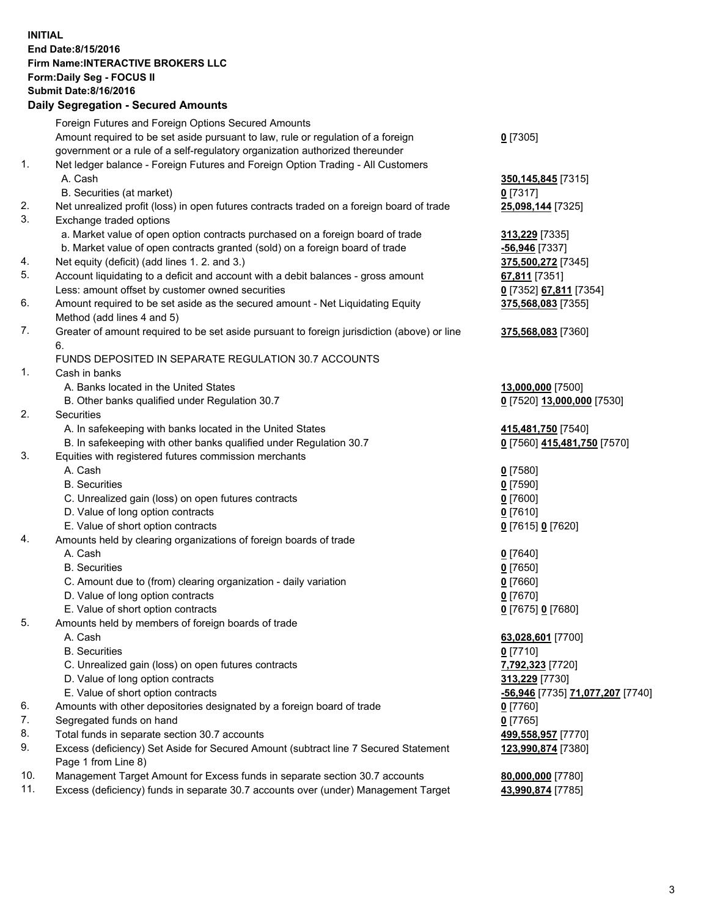## **INITIAL End Date:8/15/2016 Firm Name:INTERACTIVE BROKERS LLC Form:Daily Seg - FOCUS II Submit Date:8/16/2016 Daily Segregation - Secured Amounts**

|     | Daily Jegregation - Jeculed Aniounts                                                                       |                                  |
|-----|------------------------------------------------------------------------------------------------------------|----------------------------------|
|     | Foreign Futures and Foreign Options Secured Amounts                                                        |                                  |
|     | Amount required to be set aside pursuant to law, rule or regulation of a foreign                           | $0$ [7305]                       |
|     | government or a rule of a self-regulatory organization authorized thereunder                               |                                  |
| 1.  | Net ledger balance - Foreign Futures and Foreign Option Trading - All Customers                            |                                  |
|     | A. Cash                                                                                                    | 350, 145, 845 [7315]             |
|     | B. Securities (at market)                                                                                  | 0 [7317]                         |
| 2.  | Net unrealized profit (loss) in open futures contracts traded on a foreign board of trade                  | 25,098,144 [7325]                |
| 3.  | Exchange traded options                                                                                    |                                  |
|     | a. Market value of open option contracts purchased on a foreign board of trade                             | 313,229 [7335]                   |
|     | b. Market value of open contracts granted (sold) on a foreign board of trade                               | -56,946 [7337]                   |
| 4.  | Net equity (deficit) (add lines 1.2. and 3.)                                                               | 375,500,272 [7345]               |
| 5.  | Account liquidating to a deficit and account with a debit balances - gross amount                          | 67,811 [7351]                    |
|     | Less: amount offset by customer owned securities                                                           | 0 [7352] 67,811 [7354]           |
| 6.  | Amount required to be set aside as the secured amount - Net Liquidating Equity                             | 375,568,083 [7355]               |
|     | Method (add lines 4 and 5)                                                                                 |                                  |
| 7.  | Greater of amount required to be set aside pursuant to foreign jurisdiction (above) or line                | 375,568,083 [7360]               |
|     | 6.                                                                                                         |                                  |
|     | FUNDS DEPOSITED IN SEPARATE REGULATION 30.7 ACCOUNTS                                                       |                                  |
| 1.  | Cash in banks                                                                                              |                                  |
|     | A. Banks located in the United States                                                                      | 13,000,000 [7500]                |
|     | B. Other banks qualified under Regulation 30.7                                                             | 0 [7520] 13,000,000 [7530]       |
| 2.  | Securities                                                                                                 |                                  |
|     | A. In safekeeping with banks located in the United States                                                  | 415,481,750 [7540]               |
|     | B. In safekeeping with other banks qualified under Regulation 30.7                                         | 0 [7560] 415,481,750 [7570]      |
| 3.  | Equities with registered futures commission merchants                                                      |                                  |
|     | A. Cash                                                                                                    | $0$ [7580]                       |
|     | <b>B.</b> Securities                                                                                       | $0$ [7590]                       |
|     | C. Unrealized gain (loss) on open futures contracts                                                        | $0$ [7600]                       |
|     | D. Value of long option contracts                                                                          | $0$ [7610]                       |
|     | E. Value of short option contracts                                                                         | 0 [7615] 0 [7620]                |
| 4.  | Amounts held by clearing organizations of foreign boards of trade                                          |                                  |
|     | A. Cash                                                                                                    | $0$ [7640]                       |
|     | <b>B.</b> Securities                                                                                       | $0$ [7650]                       |
|     | C. Amount due to (from) clearing organization - daily variation                                            | $0$ [7660]                       |
|     | D. Value of long option contracts                                                                          | $0$ [7670]                       |
|     | E. Value of short option contracts                                                                         | 0 [7675] 0 [7680]                |
| 5.  | Amounts held by members of foreign boards of trade                                                         |                                  |
|     | A. Cash                                                                                                    | 63,028,601 [7700]                |
|     | <b>B.</b> Securities                                                                                       | $0$ [7710]                       |
|     | C. Unrealized gain (loss) on open futures contracts                                                        | 7,792,323 [7720]                 |
|     | D. Value of long option contracts                                                                          | 313,229 [7730]                   |
|     | E. Value of short option contracts                                                                         | -56,946 [7735] 71,077,207 [7740] |
| 6.  | Amounts with other depositories designated by a foreign board of trade                                     | 0 [7760]                         |
| 7.  | Segregated funds on hand                                                                                   | $0$ [7765]                       |
| 8.  | Total funds in separate section 30.7 accounts                                                              | 499,558,957 [7770]               |
| 9.  | Excess (deficiency) Set Aside for Secured Amount (subtract line 7 Secured Statement<br>Page 1 from Line 8) | 123,990,874 [7380]               |
| 10. | Management Target Amount for Excess funds in separate section 30.7 accounts                                | 80,000,000 [7780]                |
| 11. | Excess (deficiency) funds in separate 30.7 accounts over (under) Management Target                         | 43,990,874 [7785]                |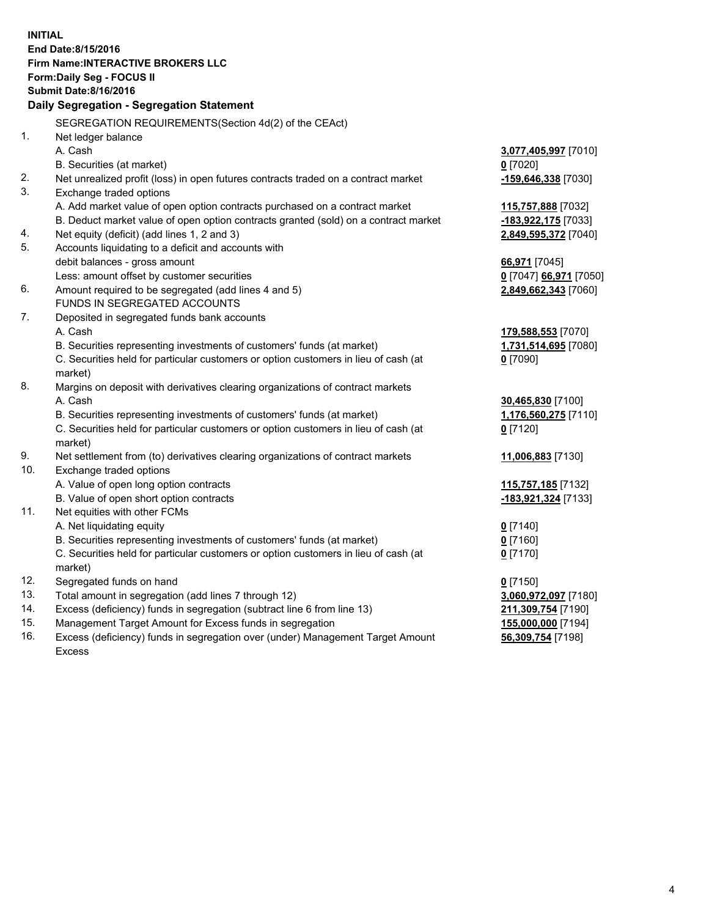**INITIAL End Date:8/15/2016 Firm Name:INTERACTIVE BROKERS LLC Form:Daily Seg - FOCUS II Submit Date:8/16/2016 Daily Segregation - Segregation Statement** SEGREGATION REQUIREMENTS(Section 4d(2) of the CEAct) 1. Net ledger balance A. Cash **3,077,405,997** [7010] B. Securities (at market) **0** [7020] 2. Net unrealized profit (loss) in open futures contracts traded on a contract market **-159,646,338** [7030] 3. Exchange traded options A. Add market value of open option contracts purchased on a contract market **115,757,888** [7032] B. Deduct market value of open option contracts granted (sold) on a contract market **-183,922,175** [7033] 4. Net equity (deficit) (add lines 1, 2 and 3) **2,849,595,372** [7040] 5. Accounts liquidating to a deficit and accounts with debit balances - gross amount **66,971** [7045] Less: amount offset by customer securities **0** [7047] **66,971** [7050] 6. Amount required to be segregated (add lines 4 and 5) **2,849,662,343** [7060] FUNDS IN SEGREGATED ACCOUNTS 7. Deposited in segregated funds bank accounts A. Cash **179,588,553** [7070] B. Securities representing investments of customers' funds (at market) **1,731,514,695** [7080] C. Securities held for particular customers or option customers in lieu of cash (at market) **0** [7090] 8. Margins on deposit with derivatives clearing organizations of contract markets A. Cash **30,465,830** [7100] B. Securities representing investments of customers' funds (at market) **1,176,560,275** [7110] C. Securities held for particular customers or option customers in lieu of cash (at market) **0** [7120] 9. Net settlement from (to) derivatives clearing organizations of contract markets **11,006,883** [7130] 10. Exchange traded options A. Value of open long option contracts **115,757,185** [7132] B. Value of open short option contracts **-183,921,324** [7133] 11. Net equities with other FCMs A. Net liquidating equity **0** [7140] B. Securities representing investments of customers' funds (at market) **0** [7160] C. Securities held for particular customers or option customers in lieu of cash (at market) **0** [7170] 12. Segregated funds on hand **0** [7150] 13. Total amount in segregation (add lines 7 through 12) **3,060,972,097** [7180] 14. Excess (deficiency) funds in segregation (subtract line 6 from line 13) **211,309,754** [7190] 15. Management Target Amount for Excess funds in segregation **155,000,000** [7194] **56,309,754** [7198]

16. Excess (deficiency) funds in segregation over (under) Management Target Amount Excess